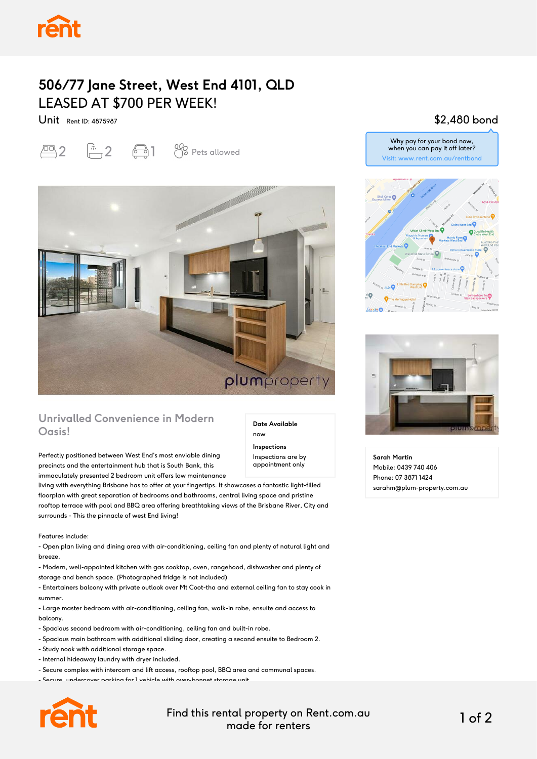## **506/77 Jane Street, West End 4101, QLD** LEASED AT \$700 PER WEEK!

Unit Rent ID: 4875987

 $\overline{2}$   $\overline{1}$   $\overline{2}$   $\overline{3}$   $\overline{1}$   $\overline{0}$  Pets allowed



#### **Unrivalled Convenience in Modern Oasis!**

Perfectly positioned between West End's most enviable dining precincts and the entertainment hub that is South Bank, this immaculately presented 2 bedroom unit offers low maintenance

living with everything Brisbane has to offer at your fingertips. It showcases a fantastic light-filled floorplan with great separation of bedrooms and bathrooms, central living space and pristine rooftop terrace with pool and BBQ area offering breathtaking views of the Brisbane River, City and surrounds - This the pinnacle of west End living!

Features include:

- Open plan living and dining area with air-conditioning, ceiling fan and plenty of natural light and breeze.

- Modern, well-appointed kitchen with gas cooktop, oven, rangehood, dishwasher and plenty of storage and bench space. (Photographed fridge is not included)

- Entertainers balcony with private outlook over Mt Coot-tha and external ceiling fan to stay cook in summer.

- Large master bedroom with air-conditioning, ceiling fan, walk-in robe, ensuite and access to balcony.

- Spacious second bedroom with air-conditioning, ceiling fan and built-in robe.

- Spacious main bathroom with additional sliding door, creating a second ensuite to Bedroom 2.
- Study nook with additional storage space.
- Internal hideaway laundry with dryer included.
- Secure complex with intercom and lift access, rooftop pool, BBQ area and communal spaces.
- Secure, undercover parking for 1 vehicle with over-bonnet storage unit.



Find this rental property on Rent.com.au made for renters 1 of 2

**Date Available**

now **Inspections** Inspections are by appointment only

#### \$2,480 bond







**Sarah Martin** Mobile: 0439 740 406 Phone: 07 3871 1424 sarahm@plum-property.com.au